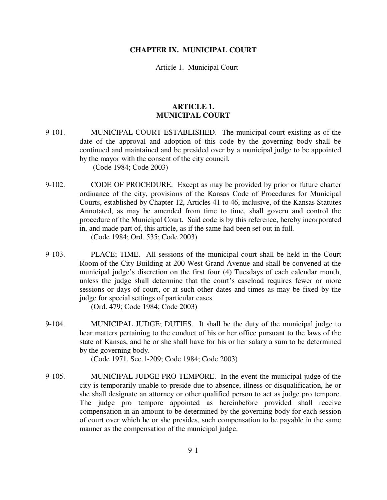## **CHAPTER IX. MUNICIPAL COURT**

Article 1. Municipal Court

## **ARTICLE 1. MUNICIPAL COURT**

- 9-101. MUNICIPAL COURT ESTABLISHED. The municipal court existing as of the date of the approval and adoption of this code by the governing body shall be continued and maintained and be presided over by a municipal judge to be appointed by the mayor with the consent of the city council. (Code 1984; Code 2003)
- 9-102. CODE OF PROCEDURE. Except as may be provided by prior or future charter ordinance of the city, provisions of the Kansas Code of Procedures for Municipal Courts, established by Chapter 12, Articles 41 to 46, inclusive, of the Kansas Statutes Annotated, as may be amended from time to time, shall govern and control the procedure of the Municipal Court. Said code is by this reference, hereby incorporated in, and made part of, this article, as if the same had been set out in full. (Code 1984; Ord. 535; Code 2003)
- 9-103. PLACE; TIME. All sessions of the municipal court shall be held in the Court Room of the City Building at 200 West Grand Avenue and shall be convened at the municipal judge's discretion on the first four (4) Tuesdays of each calendar month, unless the judge shall determine that the court's caseload requires fewer or more sessions or days of court, or at such other dates and times as may be fixed by the judge for special settings of particular cases.

(Ord. 479; Code 1984; Code 2003)

9-104. MUNICIPAL JUDGE; DUTIES. It shall be the duty of the municipal judge to hear matters pertaining to the conduct of his or her office pursuant to the laws of the state of Kansas, and he or she shall have for his or her salary a sum to be determined by the governing body.

(Code 1971, Sec.1-209; Code 1984; Code 2003)

9-105. MUNICIPAL JUDGE PRO TEMPORE. In the event the municipal judge of the city is temporarily unable to preside due to absence, illness or disqualification, he or she shall designate an attorney or other qualified person to act as judge pro tempore. The judge pro tempore appointed as hereinbefore provided shall receive compensation in an amount to be determined by the governing body for each session of court over which he or she presides, such compensation to be payable in the same manner as the compensation of the municipal judge.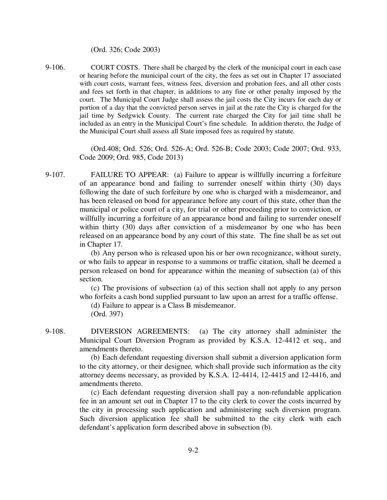(Ord. 326; Code 2003)

9-106. COURT COSTS. There shall be charged by the clerk of the municipal court in each case or hearing before the municipal court of the city, the fees as set out in Chapter 17 associated with court costs, warrant fees, witness fees, diversion and probation fees, and all other costs and fees set forth in that chapter, in additions to any fine or other penalty imposed by the court. The Municipal Court Judge shall assess the jail costs the City incurs for each day or portion of a day that the convicted person serves in jail at the rate the City is charged for the jail time by Sedgwick County. The current rate charged the City for jail time shall be included as an entry in the Municipal Court's fine schedule. In addition thereto, the Judge of the Municipal Court shall assess all State imposed fees as required by statute.

> (Ord.408; Ord. 526; Ord. 526-A; Ord. 526-B; Code 2003; Code 2007; Ord. 933, Code 2009; Ord. 985, Code 2013)

9-107. FAILURE TO APPEAR: (a) Failure to appear is willfully incurring a forfeiture of an appearance bond and failing to surrender oneself within thirty (30) days following the date of such forfeiture by one who is charged with a misdemeanor, and has been released on bond for appearance before any court of this state, other than the municipal or police court of a city, for trial or other proceeding prior to conviction, or willfully incurring a forfeiture of an appearance bond and failing to surrender oneself within thirty (30) days after conviction of a misdemeanor by one who has been released on an appearance bond by any court of this state. The fine shall be as set out in Chapter 17*.* 

> (b) Any person who is released upon his or her own recognizance, without surety, or who fails to appear in response to a summons or traffic citation, shall be deemed a person released on bond for appearance within the meaning of subsection (a) of this section.

> (c) The provisions of subsection (a) of this section shall not apply to any person who forfeits a cash bond supplied pursuant to law upon an arrest for a traffic offense.

(d) Failure to appear is a Class B misdemeanor. (Ord. 397)

9-108. DIVERSION AGREEMENTS: (a) The city attorney shall administer the Municipal Court Diversion Program as provided by K.S.A. 12-4412 et seq., and amendments thereto.

> (b) Each defendant requesting diversion shall submit a diversion application form to the city attorney, or their designee*,* which shall provide such information as the city attorney deems necessary, as provided by K.S.A. 12-4414, 12-4415 and 12-4416, and amendments thereto.

> (c) Each defendant requesting diversion shall pay a non-refundable application fee in an amount set out in Chapter 17 to the city clerk to cover the costs incurred by the city in processing such application and administering such diversion program. Such diversion application fee shall be submitted to the city clerk with each defendant's application form described above in subsection (b).

> > 9-2